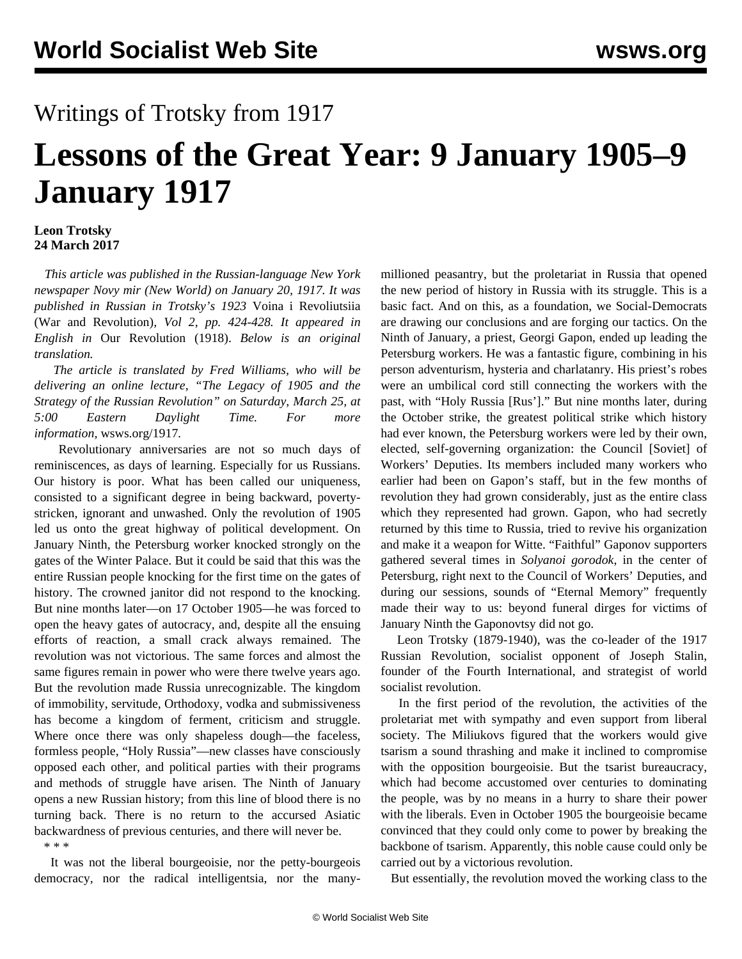## Writings of Trotsky from 1917

## **Lessons of the Great Year: 9 January 1905–9 January 1917**

## **Leon Trotsky 24 March 2017**

 *This article was published in the Russian-language New York newspaper Novy mir (New World) on January 20, 1917. It was published in Russian in Trotsky's 1923* Voina i Revoliutsiia (War and Revolution)*, Vol 2, pp. 424-428. It appeared in English in* Our Revolution (1918). *Below is an original translation.*

 *The article is translated by Fred Williams, who will be delivering an online lecture, "The Legacy of 1905 and the Strategy of the Russian Revolution" on Saturday, March 25, at 5:00 Eastern Daylight Time. For more information,* [wsws.org/1917](/1917)*.*

 Revolutionary anniversaries are not so much days of reminiscences, as days of learning. Especially for us Russians. Our history is poor. What has been called our uniqueness, consisted to a significant degree in being backward, povertystricken, ignorant and unwashed. Only the revolution of 1905 led us onto the great highway of political development. On January Ninth, the Petersburg worker knocked strongly on the gates of the Winter Palace. But it could be said that this was the entire Russian people knocking for the first time on the gates of history. The crowned janitor did not respond to the knocking. But nine months later—on 17 October 1905—he was forced to open the heavy gates of autocracy, and, despite all the ensuing efforts of reaction, a small crack always remained. The revolution was not victorious. The same forces and almost the same figures remain in power who were there twelve years ago. But the revolution made Russia unrecognizable. The kingdom of immobility, servitude, Orthodoxy, vodka and submissiveness has become a kingdom of ferment, criticism and struggle. Where once there was only shapeless dough—the faceless, formless people, "Holy Russia"—new classes have consciously opposed each other, and political parties with their programs and methods of struggle have arisen. The Ninth of January opens a new Russian history; from this line of blood there is no turning back. There is no return to the accursed Asiatic backwardness of previous centuries, and there will never be. \* \* \*

 It was not the liberal bourgeoisie, nor the petty-bourgeois democracy, nor the radical intelligentsia, nor the manymillioned peasantry, but the proletariat in Russia that opened the new period of history in Russia with its struggle. This is a basic fact. And on this, as a foundation, we Social-Democrats are drawing our conclusions and are forging our tactics. On the Ninth of January, a priest, Georgi Gapon, ended up leading the Petersburg workers. He was a fantastic figure, combining in his person adventurism, hysteria and charlatanry. His priest's robes were an umbilical cord still connecting the workers with the past, with "Holy Russia [Rus']." But nine months later, during the October strike, the greatest political strike which history had ever known, the Petersburg workers were led by their own, elected, self-governing organization: the Council [Soviet] of Workers' Deputies. Its members included many workers who earlier had been on Gapon's staff, but in the few months of revolution they had grown considerably, just as the entire class which they represented had grown. Gapon, who had secretly returned by this time to Russia, tried to revive his organization and make it a weapon for Witte. "Faithful" Gaponov supporters gathered several times in *Solyanoi gorodok*, in the center of Petersburg, right next to the Council of Workers' Deputies, and during our sessions, sounds of "Eternal Memory" frequently made their way to us: beyond funeral dirges for victims of January Ninth the Gaponovtsy did not go.

 Leon Trotsky (1879-1940), was the co-leader of the 1917 Russian Revolution, socialist opponent of Joseph Stalin, founder of the Fourth International, and strategist of world socialist revolution.

 In the first period of the revolution, the activities of the proletariat met with sympathy and even support from liberal society. The Miliukovs figured that the workers would give tsarism a sound thrashing and make it inclined to compromise with the opposition bourgeoisie. But the tsarist bureaucracy, which had become accustomed over centuries to dominating the people, was by no means in a hurry to share their power with the liberals. Even in October 1905 the bourgeoisie became convinced that they could only come to power by breaking the backbone of tsarism. Apparently, this noble cause could only be carried out by a victorious revolution.

But essentially, the revolution moved the working class to the